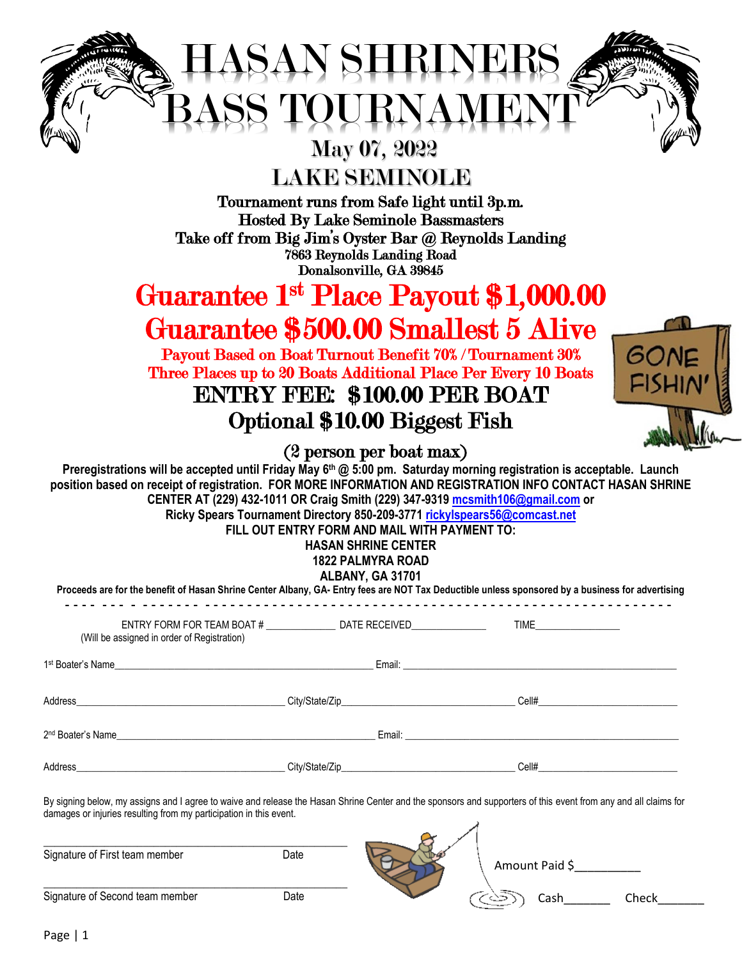# HASAN SHRINERS BASS TOURNAMENT

### May 07, 2022

LAKE SEMINOLE

Tournament runs from Safe light until 3p.m. Hosted By Lake Seminole Bassmasters Take off from Big Jim's Oyster Bar @ Reynolds Landing 7863 Reynolds Landing Road Donalsonville, GA 39845

## Guarantee 1st Place Payout \$1,000.00 Guarantee \$500.00 Smallest 5 Alive

Payout Based on Boat Turnout Benefit 70% / Tournament 30% Three Places up to 20 Boats Additional Place Per Every 10 Boats ENTRY FEE: \$100.00 PER BOAT

# Optional \$10.00 Biggest Fish



(2 person per boat max)

**Preregistrations will be accepted until Friday May 6th @ 5:00 pm. Saturday morning registration is acceptable. Launch position based on receipt of registration. FOR MORE INFORMATION AND REGISTRATION INFO CONTACT HASAN SHRINE CENTER AT (229) 432-1011 OR Craig Smith (229) 347-9319 [mcsmith106@gmail.com](mailto:mcsmith106@gmail.com) or Ricky Spears Tournament Directory 850-209-3771 [rickylspears56@comcast.net](mailto:rickylspears56@comcast.net)**

**FILL OUT ENTRY FORM AND MAIL WITH PAYMENT TO:**

#### **HASAN SHRINE CENTER**

#### **1822 PALMYRA ROAD ALBANY, GA 31701**

| <b>ALDANI, UA JIIUI</b><br>Proceeds are for the benefit of Hasan Shrine Center Albany, GA- Entry fees are NOT Tax Deductible unless sponsored by a business for advertising |  |  |  |  |
|-----------------------------------------------------------------------------------------------------------------------------------------------------------------------------|--|--|--|--|
| (Will be assigned in order of Registration)                                                                                                                                 |  |  |  |  |
|                                                                                                                                                                             |  |  |  |  |
|                                                                                                                                                                             |  |  |  |  |
| 2 <sup>nd</sup> Boater's Name                                                                                                                                               |  |  |  |  |
|                                                                                                                                                                             |  |  |  |  |

By signing below, my assigns and I agree to waive and release the Hasan Shrine Center and the sponsors and supporters of this event from any and all claims for damages or injuries resulting from my participation in this event.

| Signature of First team member  | Date | Amount Paid \$ |
|---------------------------------|------|----------------|
| Signature of Second team member | Date | Check          |